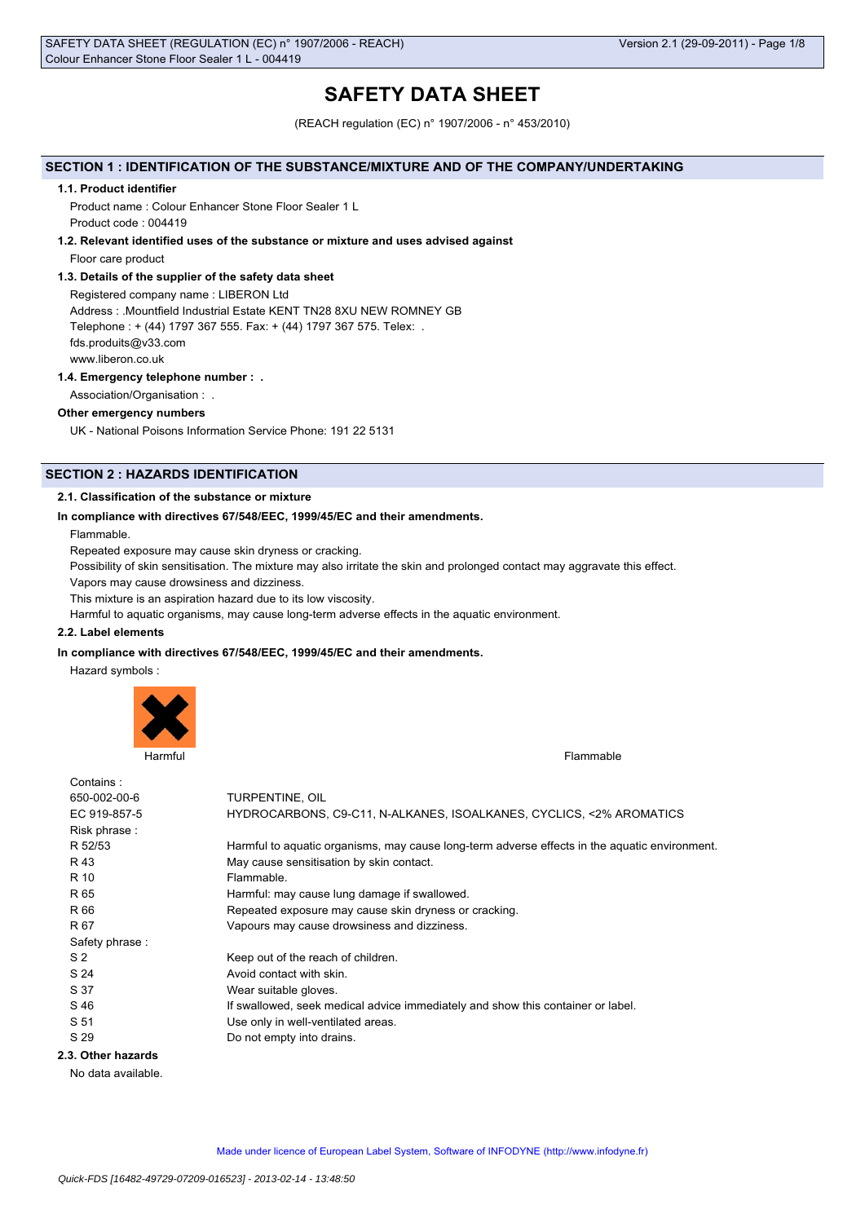# **SAFETY DATA SHEET**

(REACH regulation (EC) n° 1907/2006 - n° 453/2010)

## **SECTION 1 : IDENTIFICATION OF THE SUBSTANCE/MIXTURE AND OF THE COMPANY/UNDERTAKING**

#### **1.1. Product identifier**

Product name : Colour Enhancer Stone Floor Sealer 1 L Product code : 004419

#### **1.2. Relevant identified uses of the substance or mixture and uses advised against**

Floor care product

## **1.3. Details of the supplier of the safety data sheet**

Registered company name : LIBERON Ltd Address : .Mountfield Industrial Estate KENT TN28 8XU NEW ROMNEY GB Telephone : + (44) 1797 367 555. Fax: + (44) 1797 367 575. Telex: . fds.produits@v33.com www.liberon.co.uk

## **1.4. Emergency telephone number : .**

Association/Organisation : .

## **Other emergency numbers**

UK - National Poisons Information Service Phone: 191 22 5131

## **SECTION 2 : HAZARDS IDENTIFICATION**

## **2.1. Classification of the substance or mixture**

## **In compliance with directives 67/548/EEC, 1999/45/EC and their amendments.**

Flammable.

Repeated exposure may cause skin dryness or cracking.

Possibility of skin sensitisation. The mixture may also irritate the skin and prolonged contact may aggravate this effect.

Vapors may cause drowsiness and dizziness.

This mixture is an aspiration hazard due to its low viscosity.

Harmful to aquatic organisms, may cause long-term adverse effects in the aquatic environment.

#### **2.2. Label elements**

## **In compliance with directives 67/548/EEC, 1999/45/EC and their amendments.**

Hazard symbols :



| Contains:          |                                                                                               |
|--------------------|-----------------------------------------------------------------------------------------------|
| 650-002-00-6       | TURPENTINE, OIL                                                                               |
| EC 919-857-5       | HYDROCARBONS, C9-C11, N-ALKANES, ISOALKANES, CYCLICS, <2% AROMATICS                           |
| Risk phrase:       |                                                                                               |
| R 52/53            | Harmful to aquatic organisms, may cause long-term adverse effects in the aquatic environment. |
| R 43               | May cause sensitisation by skin contact.                                                      |
| R 10               | Flammable.                                                                                    |
| R 65               | Harmful: may cause lung damage if swallowed.                                                  |
| R 66               | Repeated exposure may cause skin dryness or cracking.                                         |
| R 67               | Vapours may cause drowsiness and dizziness.                                                   |
| Safety phrase:     |                                                                                               |
| S <sub>2</sub>     | Keep out of the reach of children.                                                            |
| S 24               | Avoid contact with skin.                                                                      |
| S 37               | Wear suitable gloves.                                                                         |
| S 46               | If swallowed, seek medical advice immediately and show this container or label.               |
| S 51               | Use only in well-ventilated areas.                                                            |
| S 29               | Do not empty into drains.                                                                     |
| 2.3. Other hazards |                                                                                               |

No data available.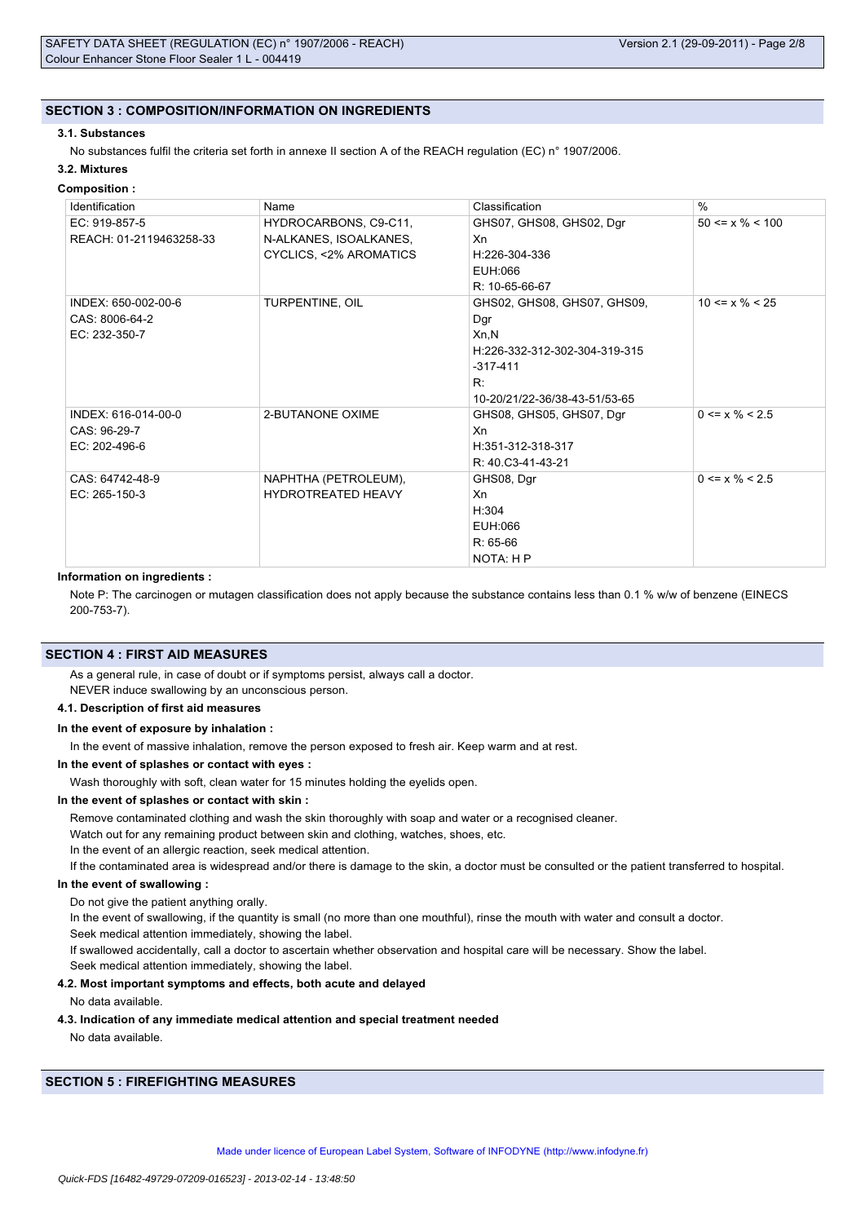## **SECTION 3 : COMPOSITION/INFORMATION ON INGREDIENTS**

## **3.1. Substances**

No substances fulfil the criteria set forth in annexe II section A of the REACH regulation (EC) n° 1907/2006.

## **3.2. Mixtures**

## **Composition :**

| Identification          | Name                             | Classification                | $\%$                  |
|-------------------------|----------------------------------|-------------------------------|-----------------------|
| EC: 919-857-5           | HYDROCARBONS, C9-C11,            | GHS07, GHS08, GHS02, Dgr      | $50 \le x \% \le 100$ |
| REACH: 01-2119463258-33 | N-ALKANES, ISOALKANES,           | Xn                            |                       |
|                         | <b>CYCLICS, &lt;2% AROMATICS</b> | H:226-304-336                 |                       |
|                         |                                  | EUH:066                       |                       |
|                         |                                  | R: 10-65-66-67                |                       |
| INDEX: 650-002-00-6     | TURPENTINE, OIL                  | GHS02, GHS08, GHS07, GHS09,   | $10 \le x \% \le 25$  |
| CAS: 8006-64-2          |                                  | Dgr                           |                       |
| EC: 232-350-7           |                                  | Xn.N                          |                       |
|                         |                                  | H:226-332-312-302-304-319-315 |                       |
|                         |                                  | $-317-411$                    |                       |
|                         |                                  | R:                            |                       |
|                         |                                  | 10-20/21/22-36/38-43-51/53-65 |                       |
| INDEX: 616-014-00-0     | 2-BUTANONE OXIME                 | GHS08, GHS05, GHS07, Dgr      | $0 \le x \% \le 2.5$  |
| CAS: 96-29-7            |                                  | Xn                            |                       |
| EC: 202-496-6           |                                  | H:351-312-318-317             |                       |
|                         |                                  | R: 40.C3-41-43-21             |                       |
| CAS: 64742-48-9         | NAPHTHA (PETROLEUM),             | GHS08, Dgr                    | $0 \le x \% \le 2.5$  |
| $EC: 265-150-3$         | <b>HYDROTREATED HEAVY</b>        | Xn                            |                       |
|                         |                                  | H:304                         |                       |
|                         |                                  | EUH:066                       |                       |
|                         |                                  | $R: 65-66$                    |                       |
|                         |                                  | NOTA: H P                     |                       |

#### **Information on ingredients :**

Note P: The carcinogen or mutagen classification does not apply because the substance contains less than 0.1 % w/w of benzene (EINECS 200-753-7).

## **SECTION 4 : FIRST AID MEASURES**

As a general rule, in case of doubt or if symptoms persist, always call a doctor.

NEVER induce swallowing by an unconscious person.

## **4.1. Description of first aid measures**

#### **In the event of exposure by inhalation :**

In the event of massive inhalation, remove the person exposed to fresh air. Keep warm and at rest.

#### **In the event of splashes or contact with eyes :**

Wash thoroughly with soft, clean water for 15 minutes holding the eyelids open.

## **In the event of splashes or contact with skin :**

Remove contaminated clothing and wash the skin thoroughly with soap and water or a recognised cleaner.

Watch out for any remaining product between skin and clothing, watches, shoes, etc.

In the event of an allergic reaction, seek medical attention.

If the contaminated area is widespread and/or there is damage to the skin, a doctor must be consulted or the patient transferred to hospital.

## **In the event of swallowing :**

Do not give the patient anything orally.

In the event of swallowing, if the quantity is small (no more than one mouthful), rinse the mouth with water and consult a doctor. Seek medical attention immediately, showing the label.

If swallowed accidentally, call a doctor to ascertain whether observation and hospital care will be necessary. Show the label.

Seek medical attention immediately, showing the label.

## **4.2. Most important symptoms and effects, both acute and delayed**

No data available.

## **4.3. Indication of any immediate medical attention and special treatment needed**

No data available.

## **SECTION 5 : FIREFIGHTING MEASURES**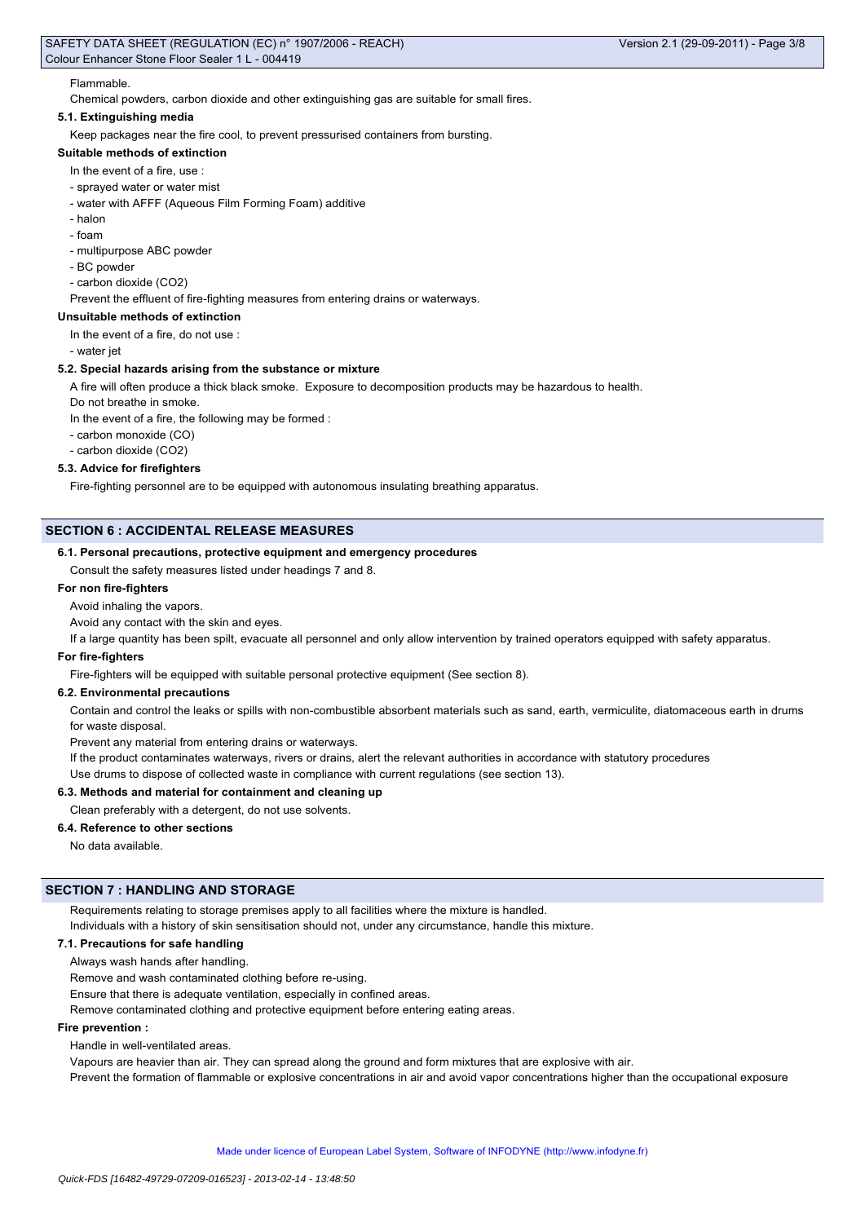## Flammable.

Chemical powders, carbon dioxide and other extinguishing gas are suitable for small fires.

## **5.1. Extinguishing media**

Keep packages near the fire cool, to prevent pressurised containers from bursting.

## **Suitable methods of extinction**

- In the event of a fire, use :
- sprayed water or water mist
- water with AFFF (Aqueous Film Forming Foam) additive
- halon
- foam
- multipurpose ABC powder
- BC powder
- carbon dioxide (CO2)

Prevent the effluent of fire-fighting measures from entering drains or waterways.

## **Unsuitable methods of extinction**

In the event of a fire, do not use :

- water jet

#### **5.2. Special hazards arising from the substance or mixture**

A fire will often produce a thick black smoke. Exposure to decomposition products may be hazardous to health.

Do not breathe in smoke.

In the event of a fire, the following may be formed :

- carbon monoxide (CO)

- carbon dioxide (CO2)

## **5.3. Advice for firefighters**

Fire-fighting personnel are to be equipped with autonomous insulating breathing apparatus.

## **SECTION 6 : ACCIDENTAL RELEASE MEASURES**

#### **6.1. Personal precautions, protective equipment and emergency procedures**

Consult the safety measures listed under headings 7 and 8.

## **For non fire-fighters**

Avoid inhaling the vapors.

Avoid any contact with the skin and eyes.

If a large quantity has been spilt, evacuate all personnel and only allow intervention by trained operators equipped with safety apparatus.

#### **For fire-fighters**

Fire-fighters will be equipped with suitable personal protective equipment (See section 8).

#### **6.2. Environmental precautions**

Contain and control the leaks or spills with non-combustible absorbent materials such as sand, earth, vermiculite, diatomaceous earth in drums for waste disposal.

Prevent any material from entering drains or waterways.

If the product contaminates waterways, rivers or drains, alert the relevant authorities in accordance with statutory procedures

Use drums to dispose of collected waste in compliance with current regulations (see section 13).

## **6.3. Methods and material for containment and cleaning up**

## Clean preferably with a detergent, do not use solvents.

## **6.4. Reference to other sections**

No data available.

## **SECTION 7 : HANDLING AND STORAGE**

Requirements relating to storage premises apply to all facilities where the mixture is handled.

Individuals with a history of skin sensitisation should not, under any circumstance, handle this mixture.

## **7.1. Precautions for safe handling**

Always wash hands after handling.

Remove and wash contaminated clothing before re-using.

Ensure that there is adequate ventilation, especially in confined areas.

Remove contaminated clothing and protective equipment before entering eating areas.

## **Fire prevention :**

Handle in well-ventilated areas.

Vapours are heavier than air. They can spread along the ground and form mixtures that are explosive with air.

Prevent the formation of flammable or explosive concentrations in air and avoid vapor concentrations higher than the occupational exposure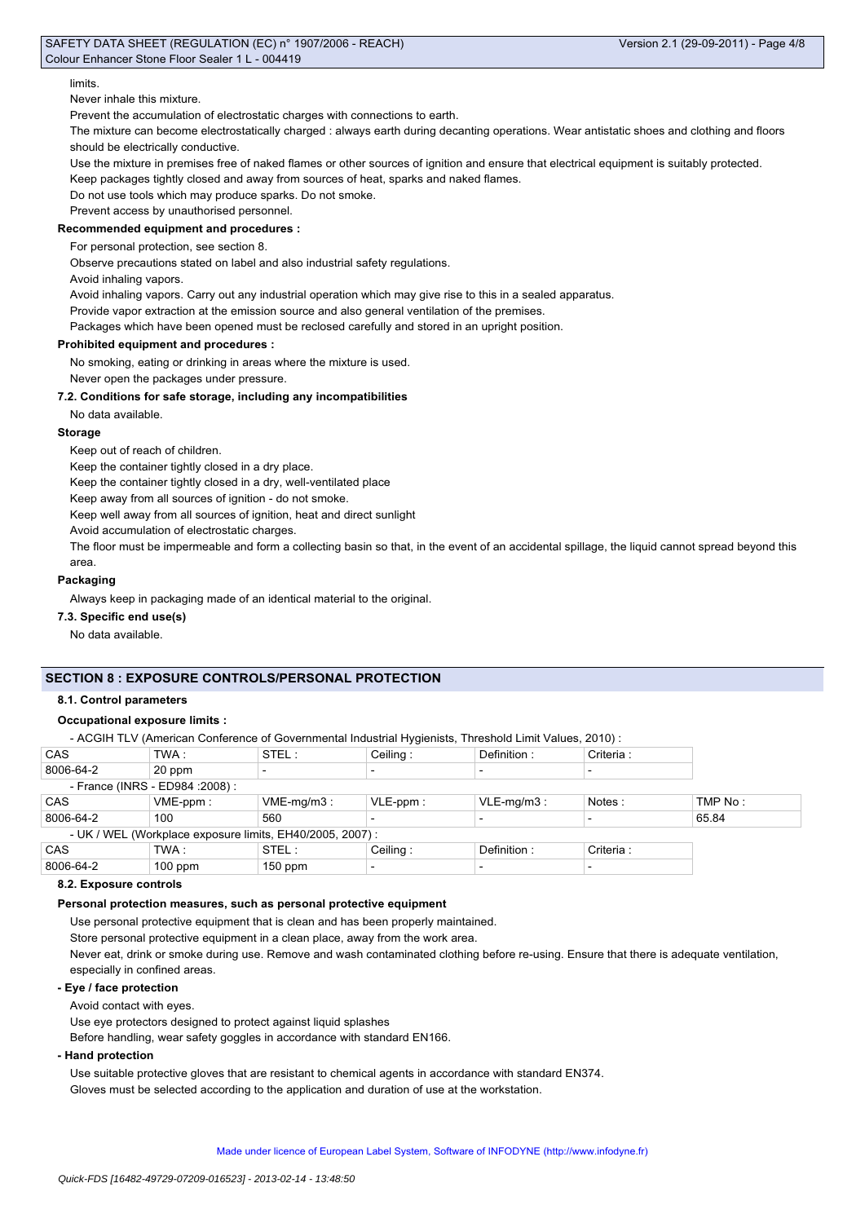### limits.

#### Never inhale this mixture.

Prevent the accumulation of electrostatic charges with connections to earth.

The mixture can become electrostatically charged : always earth during decanting operations. Wear antistatic shoes and clothing and floors should be electrically conductive.

Use the mixture in premises free of naked flames or other sources of ignition and ensure that electrical equipment is suitably protected.

Keep packages tightly closed and away from sources of heat, sparks and naked flames.

Do not use tools which may produce sparks. Do not smoke.

Prevent access by unauthorised personnel.

## **Recommended equipment and procedures :**

For personal protection, see section 8.

Observe precautions stated on label and also industrial safety regulations.

Avoid inhaling vapors.

Avoid inhaling vapors. Carry out any industrial operation which may give rise to this in a sealed apparatus.

Provide vapor extraction at the emission source and also general ventilation of the premises.

Packages which have been opened must be reclosed carefully and stored in an upright position.

#### **Prohibited equipment and procedures :**

No smoking, eating or drinking in areas where the mixture is used.

Never open the packages under pressure.

## **7.2. Conditions for safe storage, including any incompatibilities**

No data available.

## **Storage**

Keep out of reach of children.

Keep the container tightly closed in a dry place.

Keep the container tightly closed in a dry, well-ventilated place

Keep away from all sources of ignition - do not smoke.

Keep well away from all sources of ignition, heat and direct sunlight

Avoid accumulation of electrostatic charges.

The floor must be impermeable and form a collecting basin so that, in the event of an accidental spillage, the liquid cannot spread beyond this area.

#### **Packaging**

Always keep in packaging made of an identical material to the original.

## **7.3. Specific end use(s)**

No data available.

## **SECTION 8 : EXPOSURE CONTROLS/PERSONAL PROTECTION**

#### **8.1. Control parameters**

## **Occupational exposure limits :**

- ACGIH TLV (American Conference of Governmental Industrial Hygienists, Threshold Limit Values, 2010) :

| CAS                                                       | TWA :       | STEL:      | Ceiling:    | Definition:   | Criteria : |         |
|-----------------------------------------------------------|-------------|------------|-------------|---------------|------------|---------|
| 8006-64-2                                                 | 20 ppm      |            |             |               |            |         |
| - France (INRS - ED984 : 2008) :                          |             |            |             |               |            |         |
| <b>CAS</b>                                                | $VME-ppm$ : | VME-mg/m3: | $VLE-ppm$ : | $VLE-mq/m3$ : | Notes:     | TMP No: |
| 8006-64-2                                                 | 100         | 560        |             |               |            | 65.84   |
| - UK / WEL (Workplace exposure limits, EH40/2005, 2007) : |             |            |             |               |            |         |
| CAS                                                       | TWA :       | STEL:      | Ceiling:    | Definition:   | Criteria : |         |
| 8006-64-2                                                 | $100$ ppm   | $150$ ppm  |             |               |            |         |

#### **8.2. Exposure controls**

#### **Personal protection measures, such as personal protective equipment**

Use personal protective equipment that is clean and has been properly maintained.

Store personal protective equipment in a clean place, away from the work area.

Never eat, drink or smoke during use. Remove and wash contaminated clothing before re-using. Ensure that there is adequate ventilation, especially in confined areas.

#### **- Eye / face protection**

Avoid contact with eyes.

Use eye protectors designed to protect against liquid splashes

Before handling, wear safety goggles in accordance with standard EN166.

## **- Hand protection**

Use suitable protective gloves that are resistant to chemical agents in accordance with standard EN374. Gloves must be selected according to the application and duration of use at the workstation.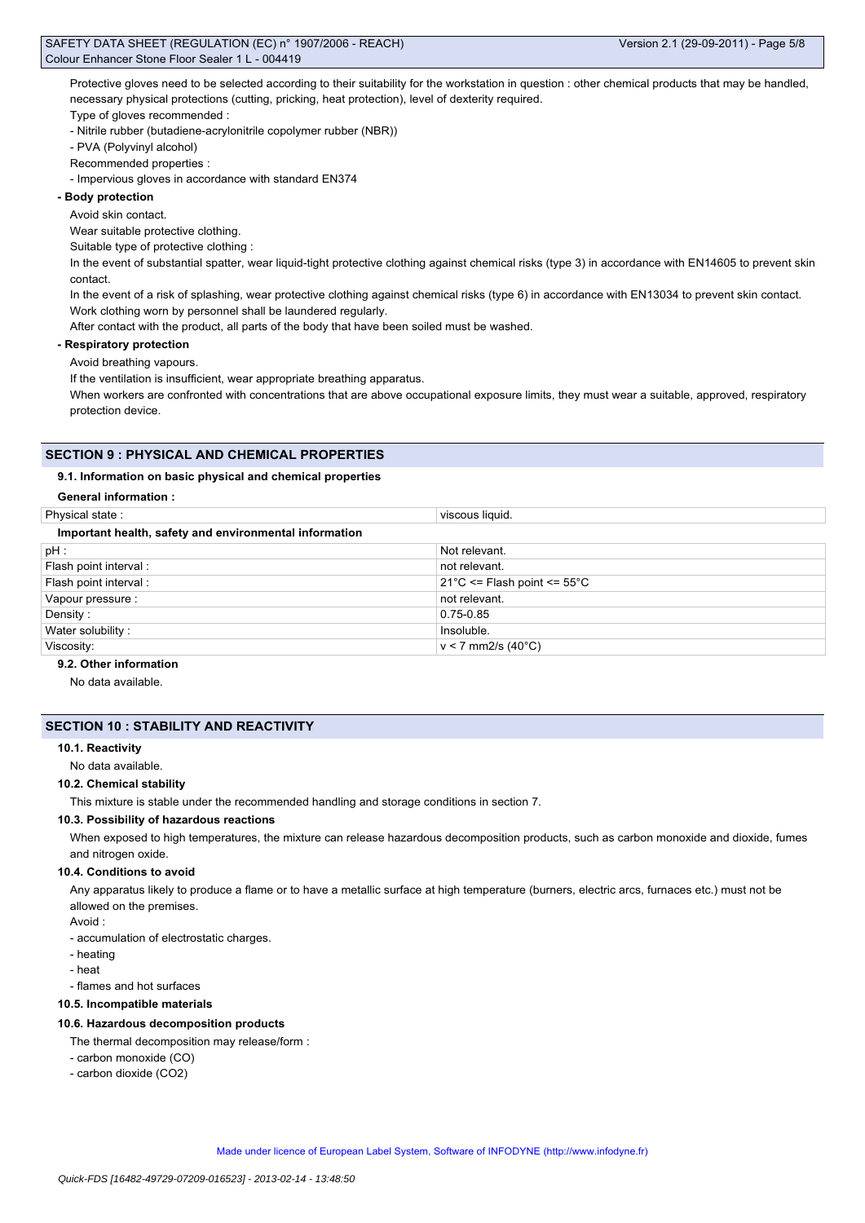Protective gloves need to be selected according to their suitability for the workstation in question : other chemical products that may be handled, necessary physical protections (cutting, pricking, heat protection), level of dexterity required.

Type of gloves recommended :

- Nitrile rubber (butadiene-acrylonitrile copolymer rubber (NBR))

- PVA (Polyvinyl alcohol)

Recommended properties :

- Impervious gloves in accordance with standard EN374

## **- Body protection**

Avoid skin contact.

Wear suitable protective clothing.

Suitable type of protective clothing :

In the event of substantial spatter, wear liquid-tight protective clothing against chemical risks (type 3) in accordance with EN14605 to prevent skin contact.

In the event of a risk of splashing, wear protective clothing against chemical risks (type 6) in accordance with EN13034 to prevent skin contact. Work clothing worn by personnel shall be laundered regularly.

After contact with the product, all parts of the body that have been soiled must be washed.

#### **- Respiratory protection**

Avoid breathing vapours.

If the ventilation is insufficient, wear appropriate breathing apparatus.

When workers are confronted with concentrations that are above occupational exposure limits, they must wear a suitable, approved, respiratory protection device.

## **SECTION 9 : PHYSICAL AND CHEMICAL PROPERTIES**

## **9.1. Information on basic physical and chemical properties**

## **General information :**

| Physical state:                                        | viscous liquid.                                 |  |  |  |
|--------------------------------------------------------|-------------------------------------------------|--|--|--|
| Important health, safety and environmental information |                                                 |  |  |  |
| $pH$ :                                                 | Not relevant.                                   |  |  |  |
| Flash point interval:                                  | not relevant.                                   |  |  |  |
| Flash point interval :                                 | $21^{\circ}$ C <= Flash point <= $55^{\circ}$ C |  |  |  |
| Vapour pressure :                                      | not relevant.                                   |  |  |  |
| Density:                                               | $0.75 - 0.85$                                   |  |  |  |
| Water solubility:                                      | Insoluble.                                      |  |  |  |
| Viscosity:                                             | $v < 7$ mm2/s (40°C)                            |  |  |  |

## **9.2. Other information**

No data available.

## **SECTION 10 : STABILITY AND REACTIVITY**

#### **10.1. Reactivity**

No data available.

#### **10.2. Chemical stability**

This mixture is stable under the recommended handling and storage conditions in section 7.

## **10.3. Possibility of hazardous reactions**

When exposed to high temperatures, the mixture can release hazardous decomposition products, such as carbon monoxide and dioxide, fumes and nitrogen oxide.

#### **10.4. Conditions to avoid**

Any apparatus likely to produce a flame or to have a metallic surface at high temperature (burners, electric arcs, furnaces etc.) must not be allowed on the premises.

#### Avoid :

- accumulation of electrostatic charges.

- heating
- heat
- flames and hot surfaces

#### **10.5. Incompatible materials**

## **10.6. Hazardous decomposition products**

- The thermal decomposition may release/form :
- carbon monoxide (CO)
- carbon dioxide (CO2)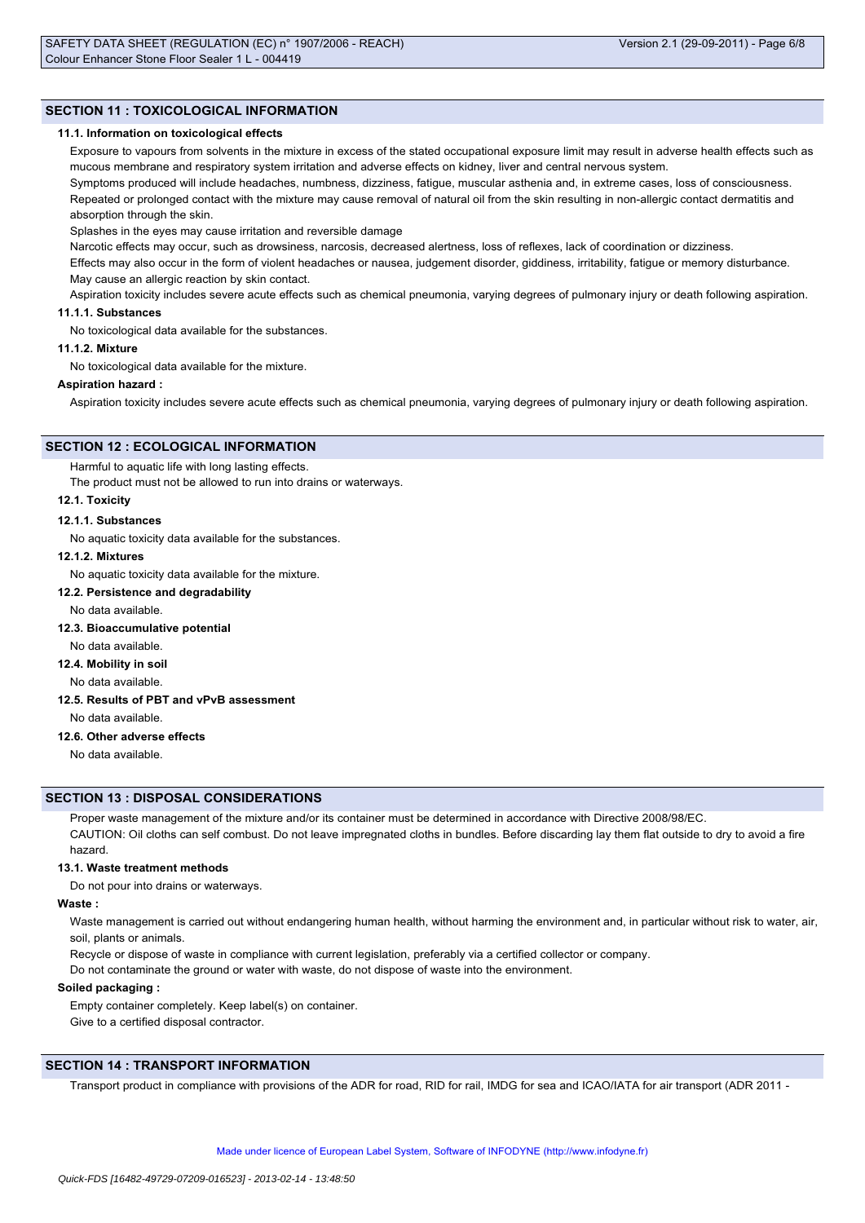## **SECTION 11 : TOXICOLOGICAL INFORMATION**

#### **11.1. Information on toxicological effects**

Exposure to vapours from solvents in the mixture in excess of the stated occupational exposure limit may result in adverse health effects such as mucous membrane and respiratory system irritation and adverse effects on kidney, liver and central nervous system.

Symptoms produced will include headaches, numbness, dizziness, fatigue, muscular asthenia and, in extreme cases, loss of consciousness. Repeated or prolonged contact with the mixture may cause removal of natural oil from the skin resulting in non-allergic contact dermatitis and absorption through the skin.

Splashes in the eyes may cause irritation and reversible damage

Narcotic effects may occur, such as drowsiness, narcosis, decreased alertness, loss of reflexes, lack of coordination or dizziness.

Effects may also occur in the form of violent headaches or nausea, judgement disorder, giddiness, irritability, fatigue or memory disturbance. May cause an allergic reaction by skin contact.

Aspiration toxicity includes severe acute effects such as chemical pneumonia, varying degrees of pulmonary injury or death following aspiration. **11.1.1. Substances**

No toxicological data available for the substances.

#### **11.1.2. Mixture**

No toxicological data available for the mixture.

#### **Aspiration hazard :**

Aspiration toxicity includes severe acute effects such as chemical pneumonia, varying degrees of pulmonary injury or death following aspiration.

## **SECTION 12 : ECOLOGICAL INFORMATION**

Harmful to aquatic life with long lasting effects.

The product must not be allowed to run into drains or waterways.

## **12.1. Toxicity**

## **12.1.1. Substances**

No aquatic toxicity data available for the substances.

#### **12.1.2. Mixtures**

No aquatic toxicity data available for the mixture.

## **12.2. Persistence and degradability**

No data available.

## **12.3. Bioaccumulative potential**

No data available.

**12.4. Mobility in soil**

## No data available.

## **12.5. Results of PBT and vPvB assessment**

No data available.

## **12.6. Other adverse effects**

No data available.

## **SECTION 13 : DISPOSAL CONSIDERATIONS**

Proper waste management of the mixture and/or its container must be determined in accordance with Directive 2008/98/EC. CAUTION: Oil cloths can self combust. Do not leave impregnated cloths in bundles. Before discarding lay them flat outside to dry to avoid a fire hazard.

#### **13.1. Waste treatment methods**

Do not pour into drains or waterways.

## **Waste :**

Waste management is carried out without endangering human health, without harming the environment and, in particular without risk to water, air, soil, plants or animals.

Recycle or dispose of waste in compliance with current legislation, preferably via a certified collector or company.

Do not contaminate the ground or water with waste, do not dispose of waste into the environment.

#### **Soiled packaging :**

Empty container completely. Keep label(s) on container. Give to a certified disposal contractor.

## **SECTION 14 : TRANSPORT INFORMATION**

Transport product in compliance with provisions of the ADR for road, RID for rail, IMDG for sea and ICAO/IATA for air transport (ADR 2011 -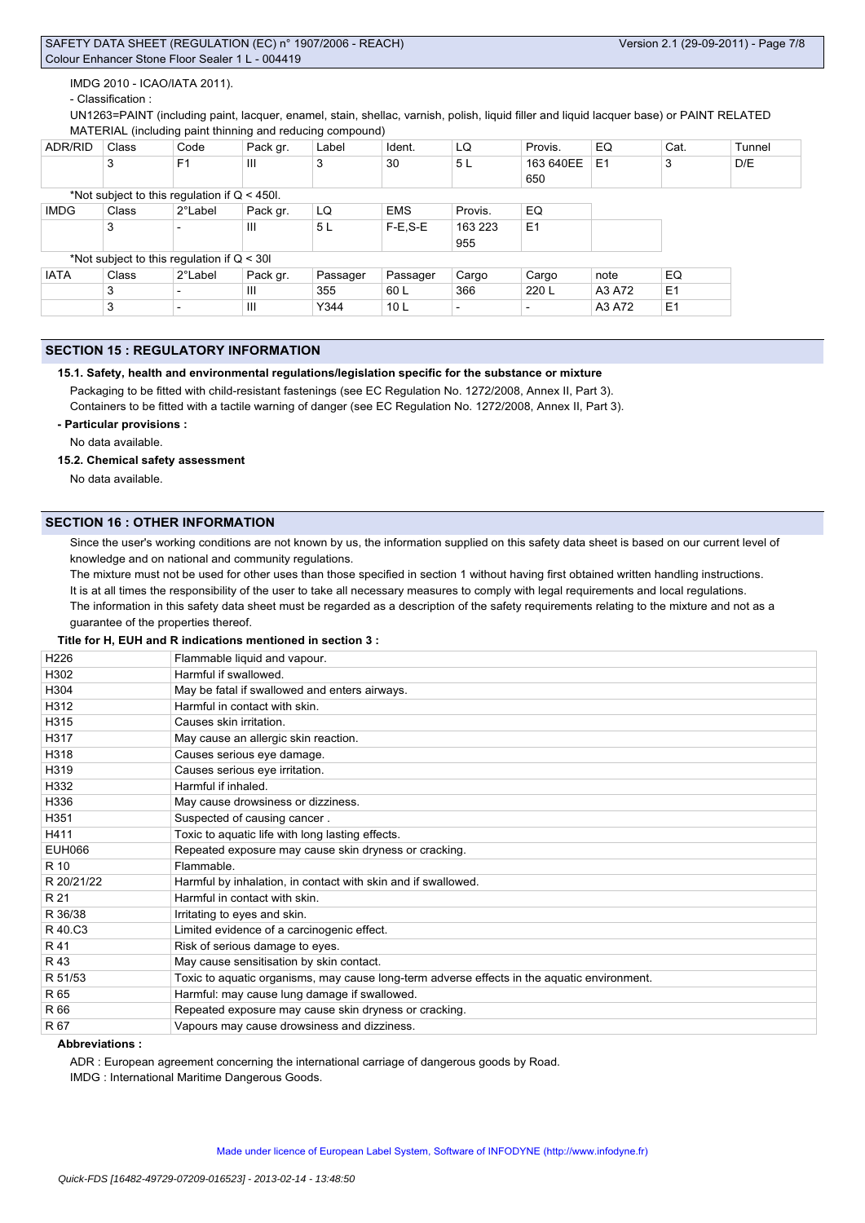IMDG 2010 - ICAO/IATA 2011).

## - Classification :

UN1263=PAINT (including paint, lacquer, enamel, stain, shellac, varnish, polish, liquid filler and liquid lacquer base) or PAINT RELATED MATERIAL (including paint thinning and reducing compound)

| ADR/RID     | Class | Code                                           | Pack gr. | Label    | Ident.          | LQ      | Provis.        | EQ             | Cat.           | Tunnel |
|-------------|-------|------------------------------------------------|----------|----------|-----------------|---------|----------------|----------------|----------------|--------|
|             | 3     | F <sub>1</sub>                                 | Ш        | 3        | 30              | 5L      | 163 640EE      | E <sub>1</sub> | 3              | D/E    |
|             |       |                                                |          |          |                 |         | 650            |                |                |        |
|             |       | *Not subject to this regulation if $Q < 450$ . |          |          |                 |         |                |                |                |        |
| <b>IMDG</b> | Class | 2°Label                                        | Pack gr. | LQ       | <b>EMS</b>      | Provis. | EQ             |                |                |        |
|             | 3     |                                                | Ш        | 5L       | $F-E, S-E$      | 163 223 | E <sub>1</sub> |                |                |        |
|             |       |                                                |          |          |                 | 955     |                |                |                |        |
|             |       | *Not subject to this regulation if $Q < 30$    |          |          |                 |         |                |                |                |        |
| <b>IATA</b> | Class | 2°Label                                        | Pack gr. | Passager | Passager        | Cargo   | Cargo          | note           | EQ             |        |
|             | 3     |                                                | Ш        | 355      | 60 L            | 366     | 220 L          | A3 A72         | E <sub>1</sub> |        |
|             | 3     |                                                | Ш        | Y344     | 10 <sub>L</sub> |         |                | A3 A72         | E <sub>1</sub> |        |

## **SECTION 15 : REGULATORY INFORMATION**

## **15.1. Safety, health and environmental regulations/legislation specific for the substance or mixture**

Packaging to be fitted with child-resistant fastenings (see EC Regulation No. 1272/2008, Annex II, Part 3).

Containers to be fitted with a tactile warning of danger (see EC Regulation No. 1272/2008, Annex II, Part 3).

**- Particular provisions :**

No data available.

## **15.2. Chemical safety assessment**

No data available.

## **SECTION 16 : OTHER INFORMATION**

Since the user's working conditions are not known by us, the information supplied on this safety data sheet is based on our current level of knowledge and on national and community regulations.

The mixture must not be used for other uses than those specified in section 1 without having first obtained written handling instructions. It is at all times the responsibility of the user to take all necessary measures to comply with legal requirements and local regulations. The information in this safety data sheet must be regarded as a description of the safety requirements relating to the mixture and not as a guarantee of the properties thereof.

#### **Title for H, EUH and R indications mentioned in section 3 :**

| H <sub>226</sub> | Flammable liquid and vapour.                                                                |
|------------------|---------------------------------------------------------------------------------------------|
| H302             | Harmful if swallowed.                                                                       |
| H304             | May be fatal if swallowed and enters airways.                                               |
| H312             | Harmful in contact with skin.                                                               |
| H315             | Causes skin irritation.                                                                     |
| H317             | May cause an allergic skin reaction.                                                        |
| H318             | Causes serious eye damage.                                                                  |
| H319             | Causes serious eye irritation.                                                              |
| H332             | Harmful if inhaled.                                                                         |
| H336             | May cause drowsiness or dizziness.                                                          |
| H351             | Suspected of causing cancer.                                                                |
| H411             | Toxic to aquatic life with long lasting effects.                                            |
| <b>EUH066</b>    | Repeated exposure may cause skin dryness or cracking.                                       |
| R 10             | Flammable.                                                                                  |
| R 20/21/22       | Harmful by inhalation, in contact with skin and if swallowed.                               |
| R 21             | Harmful in contact with skin.                                                               |
| R 36/38          | Irritating to eyes and skin.                                                                |
| R 40.C3          | Limited evidence of a carcinogenic effect.                                                  |
| R 41             | Risk of serious damage to eyes.                                                             |
| R 43             | May cause sensitisation by skin contact.                                                    |
| R 51/53          | Toxic to aquatic organisms, may cause long-term adverse effects in the aquatic environment. |
| R 65             | Harmful: may cause lung damage if swallowed.                                                |
| R 66             | Repeated exposure may cause skin dryness or cracking.                                       |
| R 67             | Vapours may cause drowsiness and dizziness.                                                 |

## **Abbreviations :**

ADR : European agreement concerning the international carriage of dangerous goods by Road.

IMDG : International Maritime Dangerous Goods.